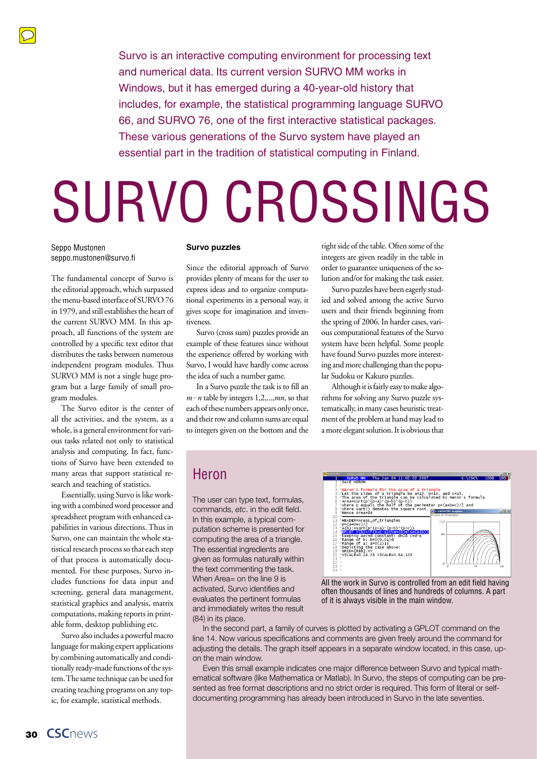

Survo is an interactive computing environment for processing text and numerical data. Its current version [SURVO MM](www.survo.fi/english) works in Windows, but it has emerged during a [40-year-old history](www.survo.fi/presentation/history.html) that includes, for example, the statistical programming language SURVO 66, and SURVO 76, one of the first interactive statistical packages. These various generations of the Survo system have played an essential part in the tradition of statistical computing in Finland.

# [SURVO CROSSINGS](www.survo.fi/english)

Seppo Mustonen seppo.mustonen@survo.fi

The fundamental concept of Survo is the editorial approach, which surpassed the menu-based interface of SURVO 76 in 1979, and still establishes the heart of the current [SURVO MM](www.survo.fi/english). In this approach, all functions of the system are controlled by a specific text editor that distributes the tasks between numerous independent program modules. Thus [SURVO MM](www.survo.fi/english) is not a single huge program but a large family of small program modules.

The Survo editor is the center of all the activities, and the system, as a whole, is a general environment for various tasks related not only to statistical analysis and computing. In fact, functions of Survo have been extended to many areas that support statistical research and teaching of statistics.

Essentially, using Survo is like working with a combined word processor and spreadsheet program with enhanced capabilities in various directions. Thus in Survo, one can maintain the whole statistical research process so that each step of that process is automatically documented. For these purposes, Survo includes functions for data input and screening, general data management, statistical graphics and analysis, matrix computations, making reports in printable form, desktop publishing etc.

Survo also includes a powerful macro language for making expert applications by combining automatically and conditionally ready-made functions of the system. The same technique can be used for creating teaching programs on any topic, for example, statistical methods.

#### **[Survo puzzles](www.survo.fi/puzzles)**

Since the editorial approach of Survo provides plenty of means for the user to express ideas and to organize computational experiments in a personal way, it gives scope for imagination and inventiveness.

Survo (cross sum) puzzles provide an example of these features since without the experience offered by working with Survo, I would have hardly come across the idea of such a number game.

In a Survo puzzle the task is to fill an  $m \cdot n$  table by integers 1,2,...,*mn*, so that each of these numbers appears only once, and their row and column sums are equal to integers given on the bottom and the

right side of the table. Often some of the integers are given readily in the table in order to guarantee uniqueness of the solution and/or for making the task easier.

Survo puzzles have been eagerly studied and solved among the active Survo users and their friends beginning from the spring of 2006. In harder cases, various computational features of the Survo system have been helpful. Some people have found Survo puzzles more interesting and more challenging than the popular Sudoku or Kakuro puzzles.

Although it is fairly easy to make algorithms for solving any Survo puzzle systematically, in many cases heuristic treatment of the problem at hand may lead to a more elegant solution. It is obvious that

### Heron

The user can type text, formulas, commands, *etc*. in the edit field. In this example, a typical computation scheme is presented for computing the area of a triangle. The essential ingredients are given as formulas naturally within the text commenting the task. When Area= on the line 9 is activated, Survo identifies and evaluates the pertinent formulas and immediately writes the result (84) in its place.



All the work in Survo is controlled from an edit field having often thousands of lines and hundreds of columns. A part of it is always visible in the main window.

In the second part, a family of curves is plotted by activating a GPLOT command on the line 14. Now various specifications and comments are given freely around the command for adjusting the details. The graph itself appears in a separate window located, in this case, upon the main window.

Even this small example indicates one major difference between Survo and typical mathematical software (like Mathematica or Matlab). In Survo, the steps of computing can be presented as free format descriptions and no strict order is required. This form of literal or selfdocumenting programming has already been introduced in Survo in the late seventies.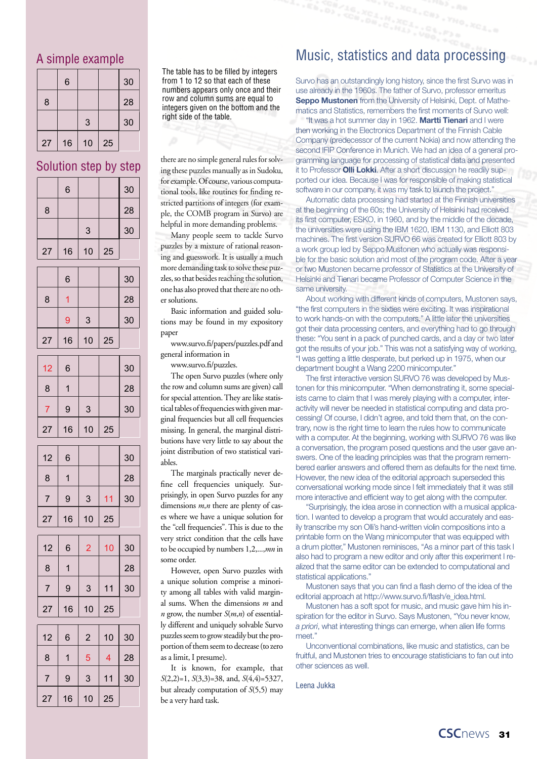#### A simple example

|    | 6  |    |    | 30 |
|----|----|----|----|----|
| 8  |    |    |    | 28 |
|    |    | 3  |    | 30 |
| 27 | 16 | 10 | 25 |    |

Solution step by step

|                | Solution step by step |                         |    |    |
|----------------|-----------------------|-------------------------|----|----|
|                | 6                     |                         |    | 30 |
| 8              |                       |                         |    | 28 |
|                |                       | 3                       |    | 30 |
| 27             | 16                    | 10                      | 25 |    |
|                | 6                     |                         |    | 30 |
| 8              | 1                     |                         |    | 28 |
|                | 9                     | 3                       |    | 30 |
| 27             | 16                    | 10                      | 25 |    |
| 12             | 6                     |                         |    | 30 |
| 8              | $\overline{1}$        |                         |    | 28 |
| $\overline{7}$ | 9                     | 3                       |    | 30 |
| 27             | 16                    | 10                      | 25 |    |
| 12             | 6                     |                         |    | 30 |
| 8              | 1                     |                         |    | 28 |
| 7              | 9                     | 3                       | 11 | 30 |
| 27             | 16                    | 10                      | 25 |    |
| 12             | 6                     | $\overline{2}$          | 10 | 30 |
| $\mathsf{R}$   | $\mathbf{1}$          |                         |    | 28 |
| 7              | 9                     | 3                       | 11 | 30 |
| 27             | 16                    | 10                      | 25 |    |
| 12             | 6                     | $\overline{2}$          | 10 | 30 |
| 8              | 1                     | 5                       | 4  | 28 |
| 7              | 9                     | $\overline{\mathbf{3}}$ | 11 | 30 |
| 27             | 16                    | 10                      | 25 |    |

The table has to be filled by integers from 1 to 12 so that each of these numbers appears only once and their row and column sums are equal to integers given on the bottom and the right side of the table.

there are no simple general rules for solving these puzzles manually as in Sudoku, for example. Of course, various computational tools, like routines for finding restricted partitions of integers (for example, the COMB program in Survo) are helpful in more demanding problems.

Many people seem to tackle Survo puzzles by a mixture of rational reasoning and guesswork. It is usually a much more demanding task to solve these puzzles, so that besides reaching the solution, one has also proved that there are no other solutions.

Basic information and guided solutions may be found in my expository paper

[www.survo.fi/papers/puzzles.pdf a](www.survo.fi/papers/puzzles.pdf)nd general information in

<www.survo.fi/puzzles>.

The open Survo puzzles (where only the row and column sums are given) call for special attention. They are like statistical tables of frequencies with given marginal frequencies but all cell frequencies missing. In general, the marginal distributions have very little to say about the joint distribution of two statistical variables.

The marginals practically never define cell frequencies uniquely. Surprisingly, in open Survo puzzles for any dimensions  $m, n$  there are plenty of cases where we have a unique solution for the "cell frequencies". This is due to the very strict condition that the cells have to be occupied by numbers 1,2,...,*mn* in some order.

However, open Survo puzzles with a unique solution comprise a minority among all tables with valid marginal sums. When the dimensions *m* and *n* grow, the number  $S(m,n)$  of essentially different and uniquely solvable Survo puzzles seem to grow steadily but the proportion of them seem to decrease (to zero as a limit, I presume).

It is known, for example, that *S*(2,2)=1, *S*(3,3)=38, and, *S*(4,4)=5327, but already computation of *S*(5,5) may be a very hard task.

#### Music, statistics and data processing

Survo has an outstandingly long history, since the first Survo was in use already in the 1960s. The father of Survo, professor emeritus **Seppo Mustonen** from the University of Helsinki, Dept. of Mathematics and Statistics, remembers the first moments of Survo well:

"It was a hot summer day in 1962. **Martti Tienari** and I were then working in the Electronics Department of the Finnish Cable Company (predecessor of the current Nokia) and now attending the second IFIP Conference in Munich. We had an idea of a general programming language for processing of statistical data and presented it to Professor **Olli Lokki**. After a short discussion he readily supported our idea. Because I was for responsible of making statistical software in our company, it was my task to launch the project."

Automatic data processing had started at the Finnish universities at the beginning of the 60s; the University of Helsinki had received its first computer, ESKO, in 1960, and by the middle of the decade, the universities were using the IBM 1620, IBM 1130, and Elliott 803 machines. The first version SURVO 66 was created for Elliott 803 by a work group led by Seppo Mustonen who actually was responsible for the basic solution and most of the program code. After a year or two Mustonen became professor of Statistics at the University of Helsinki and Tienari became Professor of Computer Science in the same university.

About working with different kinds of computers, Mustonen says, "the first computers in the sixties were exciting. It was inspirational to work hands-on with the computers." A little later the universities got their data processing centers, and everything had to go through these: "You sent in a pack of punched cards, and a day or two later got the results of your job." This was not a satisfying way of working, "I was getting a little desperate, but perked up in 1975, when our department bought a Wang 2200 minicomputer."

The first interactive version SURVO 76 was developed by Mustonen for this minicomputer. "When demonstrating it, some specialists came to claim that I was merely playing with a computer, interactivity will never be needed in statistical computing and data processing! Of course, I didn't agree, and told them that, on the contrary, now is the right time to learn the rules how to communicate with a computer. At the beginning, working with SURVO 76 was like a conversation, the program posed questions and the user gave answers. One of the leading principles was that the program remembered earlier answers and offered them as defaults for the next time. However, the new idea of the editorial approach superseded this conversational working mode since I felt immediately that it was still more interactive and efficient way to get along with the computer.

"Surprisingly, the idea arose in connection with a musical application. I wanted to develop a program that would accurately and easily transcribe my son Olli's hand-written violin compositions into a printable form on the Wang minicomputer that was equipped with a drum plotter," Mustonen reminisces, "As a minor part of this task I also had to program a new editor and only after this experiment I realized that the same editor can be extended to computational and statistical applications."

Mustonen says that you can find a flash demo of the idea of the editorial approach at [http://www.survo.fi/flash/e\\_idea.html.](www.survo.fi/flash/e_idea.html)

Mustonen has a soft spot for music, and music gave him his inspiration for the editor in Survo. Says Mustonen, "You never know, *a priori*, what interesting things can emerge, when alien life forms meet."

Unconventional combinations, like music and statistics, can be fruitful, and Mustonen tries to encourage statisticians to fan out into other sciences as well.

Leena Jukka